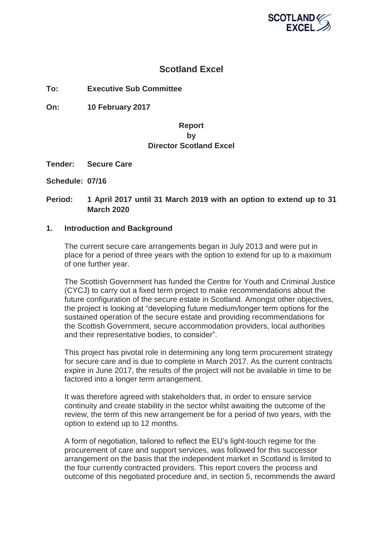

# **Scotland Excel**

**To: Executive Sub Committee** 

**On: 10 February 2017** 

# **Report by Director Scotland Excel**

**Tender: Secure Care** 

**Schedule: 07/16**

## **Period: 1 April 2017 until 31 March 2019 with an option to extend up to 31 March 2020**

#### **1. Introduction and Background**

The current secure care arrangements began in July 2013 and were put in place for a period of three years with the option to extend for up to a maximum of one further year.

The Scottish Government has funded the Centre for Youth and Criminal Justice (CYCJ) to carry out a fixed term project to make recommendations about the future configuration of the secure estate in Scotland. Amongst other objectives, the project is looking at "developing future medium/longer term options for the sustained operation of the secure estate and providing recommendations for the Scottish Government, secure accommodation providers, local authorities and their representative bodies, to consider".

This project has pivotal role in determining any long term procurement strategy for secure care and is due to complete in March 2017. As the current contracts expire in June 2017, the results of the project will not be available in time to be factored into a longer term arrangement.

It was therefore agreed with stakeholders that, in order to ensure service continuity and create stability in the sector whilst awaiting the outcome of the review, the term of this new arrangement be for a period of two years, with the option to extend up to 12 months.

A form of negotiation, tailored to reflect the EU's light-touch regime for the procurement of care and support services, was followed for this successor arrangement on the basis that the independent market in Scotland is limited to the four currently contracted providers. This report covers the process and outcome of this negotiated procedure and, in section 5, recommends the award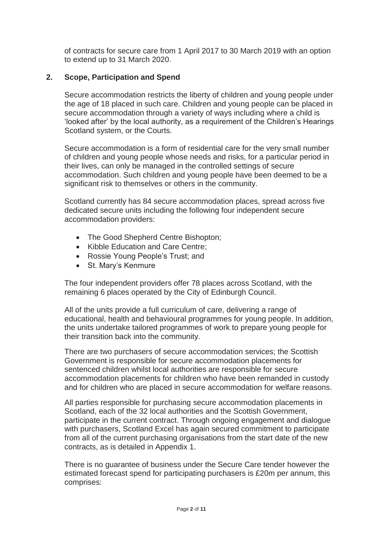of contracts for secure care from 1 April 2017 to 30 March 2019 with an option to extend up to 31 March 2020.

## **2. Scope, Participation and Spend**

Secure accommodation restricts the liberty of children and young people under the age of 18 placed in such care. Children and young people can be placed in secure accommodation through a variety of ways including where a child is 'looked after' by the local authority, as a requirement of the Children's Hearings Scotland system, or the Courts.

Secure accommodation is a form of residential care for the very small number of children and young people whose needs and risks, for a particular period in their lives, can only be managed in the controlled settings of secure accommodation. Such children and young people have been deemed to be a significant risk to themselves or others in the community.

Scotland currently has 84 secure accommodation places, spread across five dedicated secure units including the following four independent secure accommodation providers:

- The Good Shepherd Centre Bishopton:
- Kibble Education and Care Centre:
- Rossie Young People's Trust; and
- St. Mary's Kenmure

The four independent providers offer 78 places across Scotland, with the remaining 6 places operated by the City of Edinburgh Council.

All of the units provide a full curriculum of care, delivering a range of educational, health and behavioural programmes for young people. In addition, the units undertake tailored programmes of work to prepare young people for their transition back into the community.

There are two purchasers of secure accommodation services; the Scottish Government is responsible for secure accommodation placements for sentenced children whilst local authorities are responsible for secure accommodation placements for children who have been remanded in custody and for children who are placed in secure accommodation for welfare reasons.

All parties responsible for purchasing secure accommodation placements in Scotland, each of the 32 local authorities and the Scottish Government, participate in the current contract. Through ongoing engagement and dialogue with purchasers, Scotland Excel has again secured commitment to participate from all of the current purchasing organisations from the start date of the new contracts, as is detailed in Appendix 1.

There is no guarantee of business under the Secure Care tender however the estimated forecast spend for participating purchasers is £20m per annum, this comprises: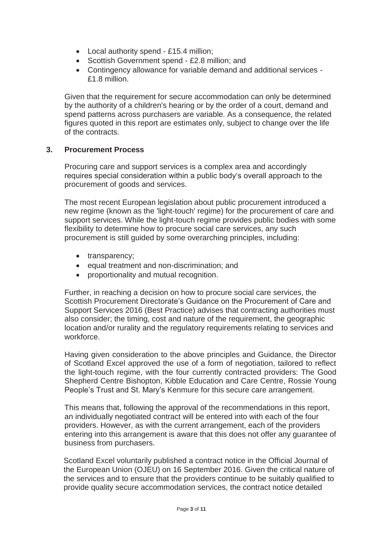- Local authority spend £15.4 million;
- Scottish Government spend £2.8 million; and
- Contingency allowance for variable demand and additional services -£1.8 million.

Given that the requirement for secure accommodation can only be determined by the authority of a children's hearing or by the order of a court, demand and spend patterns across purchasers are variable. As a consequence, the related figures quoted in this report are estimates only, subject to change over the life of the contracts.

### **3. Procurement Process**

Procuring care and support services is a complex area and accordingly requires special consideration within a public body's overall approach to the procurement of goods and services.

The most recent European legislation about public procurement introduced a new regime (known as the 'light-touch' regime) for the procurement of care and support services. While the light-touch regime provides public bodies with some flexibility to determine how to procure social care services, any such procurement is still guided by some overarching principles, including:

- $\bullet$  transparency;
- equal treatment and non-discrimination; and
- proportionality and mutual recognition.

Further, in reaching a decision on how to procure social care services, the Scottish Procurement Directorate's Guidance on the Procurement of Care and Support Services 2016 (Best Practice) advises that contracting authorities must also consider; the timing, cost and nature of the requirement, the geographic location and/or rurality and the regulatory requirements relating to services and workforce.

Having given consideration to the above principles and Guidance, the Director of Scotland Excel approved the use of a form of negotiation, tailored to reflect the light-touch regime, with the four currently contracted providers: The Good Shepherd Centre Bishopton, Kibble Education and Care Centre, Rossie Young People's Trust and St. Mary's Kenmure for this secure care arrangement.

This means that, following the approval of the recommendations in this report, an individually negotiated contract will be entered into with each of the four providers. However, as with the current arrangement, each of the providers entering into this arrangement is aware that this does not offer any guarantee of business from purchasers.

Scotland Excel voluntarily published a contract notice in the Official Journal of the European Union (OJEU) on 16 September 2016. Given the critical nature of the services and to ensure that the providers continue to be suitably qualified to provide quality secure accommodation services, the contract notice detailed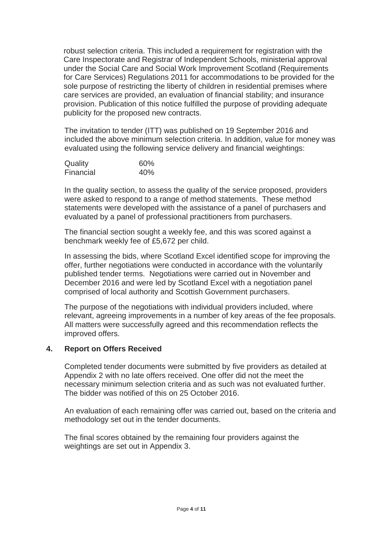robust selection criteria. This included a requirement for registration with the Care Inspectorate and Registrar of Independent Schools, ministerial approval under the Social Care and Social Work Improvement Scotland (Requirements for Care Services) Regulations 2011 for accommodations to be provided for the sole purpose of restricting the liberty of children in residential premises where care services are provided, an evaluation of financial stability; and insurance provision. Publication of this notice fulfilled the purpose of providing adequate publicity for the proposed new contracts.

The invitation to tender (ITT) was published on 19 September 2016 and included the above minimum selection criteria. In addition, value for money was evaluated using the following service delivery and financial weightings:

| Quality   | 60% |
|-----------|-----|
| Financial | 40% |

In the quality section, to assess the quality of the service proposed, providers were asked to respond to a range of method statements. These method statements were developed with the assistance of a panel of purchasers and evaluated by a panel of professional practitioners from purchasers.

The financial section sought a weekly fee, and this was scored against a benchmark weekly fee of £5,672 per child.

In assessing the bids, where Scotland Excel identified scope for improving the offer, further negotiations were conducted in accordance with the voluntarily published tender terms. Negotiations were carried out in November and December 2016 and were led by Scotland Excel with a negotiation panel comprised of local authority and Scottish Government purchasers.

The purpose of the negotiations with individual providers included, where relevant, agreeing improvements in a number of key areas of the fee proposals. All matters were successfully agreed and this recommendation reflects the improved offers.

# **4. Report on Offers Received**

Completed tender documents were submitted by five providers as detailed at Appendix 2 with no late offers received. One offer did not the meet the necessary minimum selection criteria and as such was not evaluated further. The bidder was notified of this on 25 October 2016.

An evaluation of each remaining offer was carried out, based on the criteria and methodology set out in the tender documents.

The final scores obtained by the remaining four providers against the weightings are set out in Appendix 3.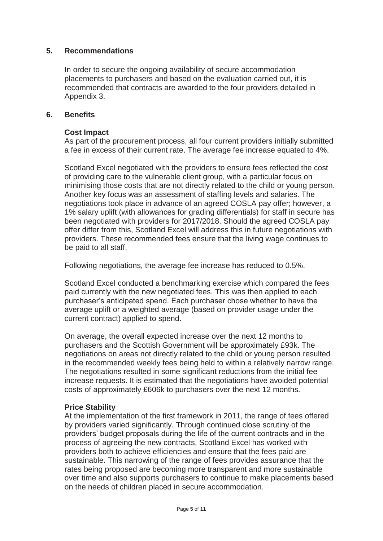### **5. Recommendations**

In order to secure the ongoing availability of secure accommodation placements to purchasers and based on the evaluation carried out, it is recommended that contracts are awarded to the four providers detailed in Appendix 3.

#### **6. Benefits**

#### **Cost Impact**

As part of the procurement process, all four current providers initially submitted a fee in excess of their current rate. The average fee increase equated to 4%.

Scotland Excel negotiated with the providers to ensure fees reflected the cost of providing care to the vulnerable client group, with a particular focus on minimising those costs that are not directly related to the child or young person. Another key focus was an assessment of staffing levels and salaries. The negotiations took place in advance of an agreed COSLA pay offer; however, a 1% salary uplift (with allowances for grading differentials) for staff in secure has been negotiated with providers for 2017/2018. Should the agreed COSLA pay offer differ from this, Scotland Excel will address this in future negotiations with providers. These recommended fees ensure that the living wage continues to be paid to all staff.

Following negotiations, the average fee increase has reduced to 0.5%.

Scotland Excel conducted a benchmarking exercise which compared the fees paid currently with the new negotiated fees. This was then applied to each purchaser's anticipated spend. Each purchaser chose whether to have the average uplift or a weighted average (based on provider usage under the current contract) applied to spend.

On average, the overall expected increase over the next 12 months to purchasers and the Scottish Government will be approximately £93k. The negotiations on areas not directly related to the child or young person resulted in the recommended weekly fees being held to within a relatively narrow range. The negotiations resulted in some significant reductions from the initial fee increase requests. It is estimated that the negotiations have avoided potential costs of approximately £606k to purchasers over the next 12 months.

#### **Price Stability**

At the implementation of the first framework in 2011, the range of fees offered by providers varied significantly. Through continued close scrutiny of the providers' budget proposals during the life of the current contracts and in the process of agreeing the new contracts, Scotland Excel has worked with providers both to achieve efficiencies and ensure that the fees paid are sustainable. This narrowing of the range of fees provides assurance that the rates being proposed are becoming more transparent and more sustainable over time and also supports purchasers to continue to make placements based on the needs of children placed in secure accommodation.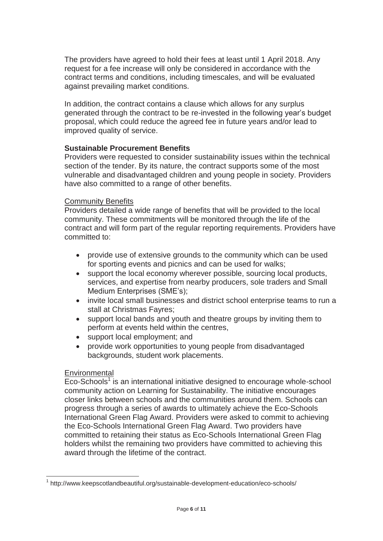The providers have agreed to hold their fees at least until 1 April 2018. Any request for a fee increase will only be considered in accordance with the contract terms and conditions, including timescales, and will be evaluated against prevailing market conditions.

In addition, the contract contains a clause which allows for any surplus generated through the contract to be re-invested in the following year's budget proposal, which could reduce the agreed fee in future years and/or lead to improved quality of service.

### **Sustainable Procurement Benefits**

Providers were requested to consider sustainability issues within the technical section of the tender. By its nature, the contract supports some of the most vulnerable and disadvantaged children and young people in society. Providers have also committed to a range of other benefits.

#### Community Benefits

Providers detailed a wide range of benefits that will be provided to the local community. These commitments will be monitored through the life of the contract and will form part of the regular reporting requirements. Providers have committed to:

- provide use of extensive grounds to the community which can be used for sporting events and picnics and can be used for walks;
- support the local economy wherever possible, sourcing local products, services, and expertise from nearby producers, sole traders and Small Medium Enterprises (SME's);
- invite local small businesses and district school enterprise teams to run a stall at Christmas Fayres;
- support local bands and youth and theatre groups by inviting them to perform at events held within the centres,
- support local employment; and
- provide work opportunities to young people from disadvantaged backgrounds, student work placements.

### **Environmental**

Eco-Schools<sup>1</sup> is an international initiative designed to encourage whole-school community action on Learning for Sustainability. The initiative encourages closer links between schools and the communities around them. Schools can progress through a series of awards to ultimately achieve the Eco-Schools International Green Flag Award. Providers were asked to commit to achieving the Eco-Schools International Green Flag Award. Two providers have committed to retaining their status as Eco-Schools International Green Flag holders whilst the remaining two providers have committed to achieving this award through the lifetime of the contract.

<sup>&</sup>lt;sup>1</sup> http://www.keepscotlandbeautiful.org/sustainable-development-education/eco-schools/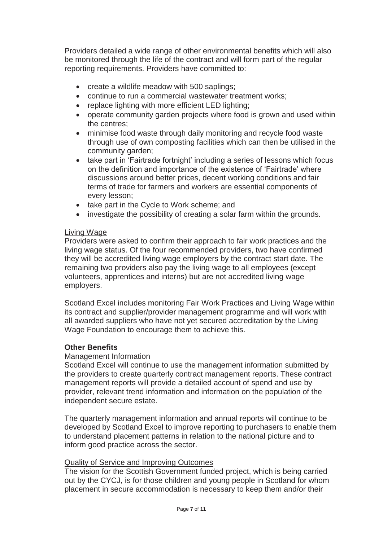Providers detailed a wide range of other environmental benefits which will also be monitored through the life of the contract and will form part of the regular reporting requirements. Providers have committed to:

- $\bullet$  create a wildlife meadow with 500 saplings;
- continue to run a commercial wastewater treatment works;
- replace lighting with more efficient LED lighting;
- operate community garden projects where food is grown and used within the centres;
- minimise food waste through daily monitoring and recycle food waste through use of own composting facilities which can then be utilised in the community garden;
- take part in 'Fairtrade fortnight' including a series of lessons which focus on the definition and importance of the existence of 'Fairtrade' where discussions around better prices, decent working conditions and fair terms of trade for farmers and workers are essential components of every lesson;
- take part in the Cycle to Work scheme; and
- investigate the possibility of creating a solar farm within the grounds.

#### Living Wage

Providers were asked to confirm their approach to fair work practices and the living wage status. Of the four recommended providers, two have confirmed they will be accredited living wage employers by the contract start date. The remaining two providers also pay the living wage to all employees (except volunteers, apprentices and interns) but are not accredited living wage employers.

Scotland Excel includes monitoring Fair Work Practices and Living Wage within its contract and supplier/provider management programme and will work with all awarded suppliers who have not yet secured accreditation by the Living Wage Foundation to encourage them to achieve this.

### **Other Benefits**

#### Management Information

Scotland Excel will continue to use the management information submitted by the providers to create quarterly contract management reports. These contract management reports will provide a detailed account of spend and use by provider, relevant trend information and information on the population of the independent secure estate.

The quarterly management information and annual reports will continue to be developed by Scotland Excel to improve reporting to purchasers to enable them to understand placement patterns in relation to the national picture and to inform good practice across the sector.

#### Quality of Service and Improving Outcomes

The vision for the Scottish Government funded project, which is being carried out by the CYCJ, is for those children and young people in Scotland for whom placement in secure accommodation is necessary to keep them and/or their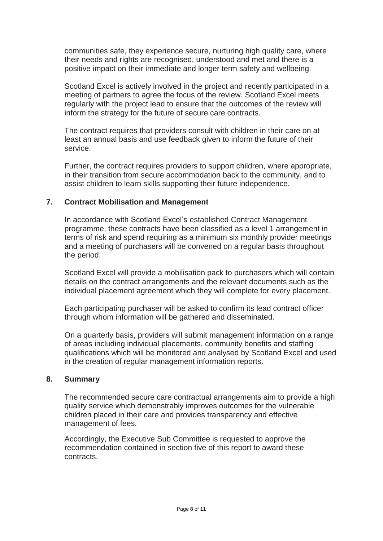communities safe, they experience secure, nurturing high quality care, where their needs and rights are recognised, understood and met and there is a positive impact on their immediate and longer term safety and wellbeing.

Scotland Excel is actively involved in the project and recently participated in a meeting of partners to agree the focus of the review. Scotland Excel meets regularly with the project lead to ensure that the outcomes of the review will inform the strategy for the future of secure care contracts.

The contract requires that providers consult with children in their care on at least an annual basis and use feedback given to inform the future of their service.

Further, the contract requires providers to support children, where appropriate, in their transition from secure accommodation back to the community, and to assist children to learn skills supporting their future independence.

### **7. Contract Mobilisation and Management**

In accordance with Scotland Excel's established Contract Management programme, these contracts have been classified as a level 1 arrangement in terms of risk and spend requiring as a minimum six monthly provider meetings and a meeting of purchasers will be convened on a regular basis throughout the period.

Scotland Excel will provide a mobilisation pack to purchasers which will contain details on the contract arrangements and the relevant documents such as the individual placement agreement which they will complete for every placement.

Each participating purchaser will be asked to confirm its lead contract officer through whom information will be gathered and disseminated.

On a quarterly basis, providers will submit management information on a range of areas including individual placements, community benefits and staffing qualifications which will be monitored and analysed by Scotland Excel and used in the creation of regular management information reports.

### **8. Summary**

The recommended secure care contractual arrangements aim to provide a high quality service which demonstrably improves outcomes for the vulnerable children placed in their care and provides transparency and effective management of fees.

Accordingly, the Executive Sub Committee is requested to approve the recommendation contained in section five of this report to award these contracts.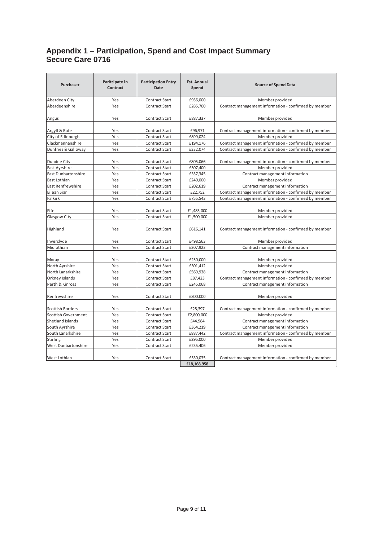## **Appendix 1 – Participation, Spend and Cost Impact Summary Secure Care 0716**

| Purchaser                  | Paritcipate in<br>Contract | <b>Participation Entry</b><br><b>Date</b> | <b>Est. Annual</b><br>Spend | <b>Source of Spend Data</b>                           |  |
|----------------------------|----------------------------|-------------------------------------------|-----------------------------|-------------------------------------------------------|--|
| Aberdeen City              | Yes                        | <b>Contract Start</b>                     | £936.000                    | Member provided                                       |  |
| Aberdeenshire              | Yes                        | <b>Contract Start</b>                     | £285,700                    | Contract management information - confirmed by member |  |
| Angus                      | Yes                        | <b>Contract Start</b>                     | £887,337                    | Member provided                                       |  |
| Argyll & Bute              | Yes                        | <b>Contract Start</b>                     | £96,971                     | Contract management information - confirmed by member |  |
| City of Edinburgh          | Yes                        | <b>Contract Start</b>                     | £899,024                    | Member provided                                       |  |
| Clackmannanshire           | Yes                        | <b>Contract Start</b>                     | £194,176                    | Contract management information - confirmed by member |  |
| Dunfries & Galloway        | Yes                        | <b>Contract Start</b>                     | £332,074                    | Contract management information - confirmed by member |  |
| Dundee City                | Yes                        | <b>Contract Start</b>                     | £805,066                    | Contract management information - confirmed by member |  |
| East Ayrshire              | Yes                        | <b>Contract Start</b>                     | £307,400                    | Member provided                                       |  |
| East Dunbartonshire        | Yes                        | <b>Contract Start</b>                     | £357,345                    | Contract management information                       |  |
| East Lothian               | Yes                        | <b>Contract Start</b>                     | £240,000                    | Member provided                                       |  |
| East Renfrewshire          | Yes                        | <b>Contract Start</b>                     | £202,619                    | Contract management information                       |  |
| Eilean Siar                | Yes                        | <b>Contract Start</b>                     | £22.752                     | Contract management information - confirmed by member |  |
| Falkirk                    | Yes                        | <b>Contract Start</b>                     | £755,543                    | Contract management information - confirmed by member |  |
| Fife                       | Yes                        | <b>Contract Start</b>                     | £1,485,000                  | Member provided                                       |  |
| Glasgow City               | Yes                        | <b>Contract Start</b>                     | £1,500,000                  | Member provided                                       |  |
| Highland                   | Yes                        | <b>Contract Start</b>                     | £616,141                    | Contract management information - confirmed by member |  |
| Inverclyde                 | Yes                        | <b>Contract Start</b>                     | £498,563                    | Member provided                                       |  |
| Midlothian                 | Yes                        | <b>Contract Start</b>                     | £307,923                    | Contract management information                       |  |
| Moray                      | Yes                        | <b>Contract Start</b>                     | £250,000                    | Member provided                                       |  |
| North Ayrshire             | Yes                        | <b>Contract Start</b>                     | £301,412                    | Member provided                                       |  |
| North Lanarkshire          | Yes                        | <b>Contract Start</b>                     | £569,938                    | Contract management information                       |  |
| Orkney Islands             | Yes                        | <b>Contract Start</b>                     | £87,423                     | Contract management information - confirmed by member |  |
| Perth & Kinross            | Yes                        | <b>Contract Start</b>                     | £245,068                    | Contract management information                       |  |
| Renfrewshire               | Yes                        | <b>Contract Start</b>                     | £800,000                    | Member provided                                       |  |
| Scottish Borders           | Yes                        | <b>Contract Start</b>                     | £28,397                     | Contract management information - confirmed by member |  |
| <b>Scottish Government</b> | Yes                        | <b>Contract Start</b>                     | £2,800,000                  | Member provided                                       |  |
| Shetland Islands           | Yes                        | <b>Contract Start</b>                     | £44,984                     | Contract management information                       |  |
| South Ayrshire             | Yes                        | <b>Contract Start</b>                     | £364,219                    | Contract management information                       |  |
| South Lanarkshire          | Yes                        | <b>Contract Start</b>                     | £887.442                    | Contract management information - confirmed by member |  |
| <b>Stirling</b>            | Yes                        | <b>Contract Start</b>                     | £295,000                    | Member provided                                       |  |
| West Dunbartonshire        | Yes                        | <b>Contract Start</b>                     | £235,406                    | Member provided                                       |  |
| West Lothian               | Yes                        | <b>Contract Start</b>                     | £530,035<br>£18.168.958     | Contract management information - confirmed by member |  |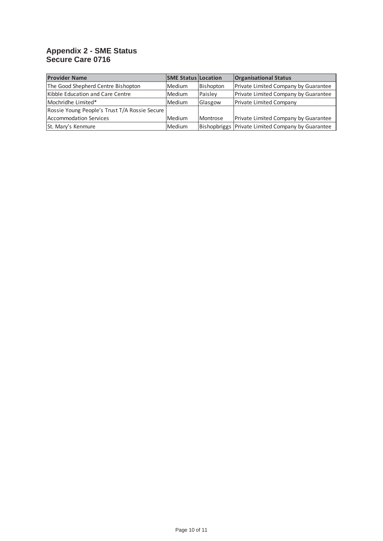### **Appendix 2 - SME Status Secure Care 0716**

| <b>Provider Name</b>                          | <b>SME Status Location</b> |           | <b>Organisational Status</b>                      |
|-----------------------------------------------|----------------------------|-----------|---------------------------------------------------|
| The Good Shepherd Centre Bishopton            | Medium                     | Bishopton | Private Limited Company by Guarantee              |
| Kibble Education and Care Centre              | Medium                     | Paisley   | Private Limited Company by Guarantee              |
| Mochridhe Limited*                            | Medium                     | Glasgow   | <b>Private Limited Company</b>                    |
| Rossie Young People's Trust T/A Rossie Secure |                            |           |                                                   |
| Accommodation Services                        | Medium                     | Montrose  | Private Limited Company by Guarantee              |
| St. Mary's Kenmure                            | Medium                     |           | Bishopbriggs Private Limited Company by Guarantee |